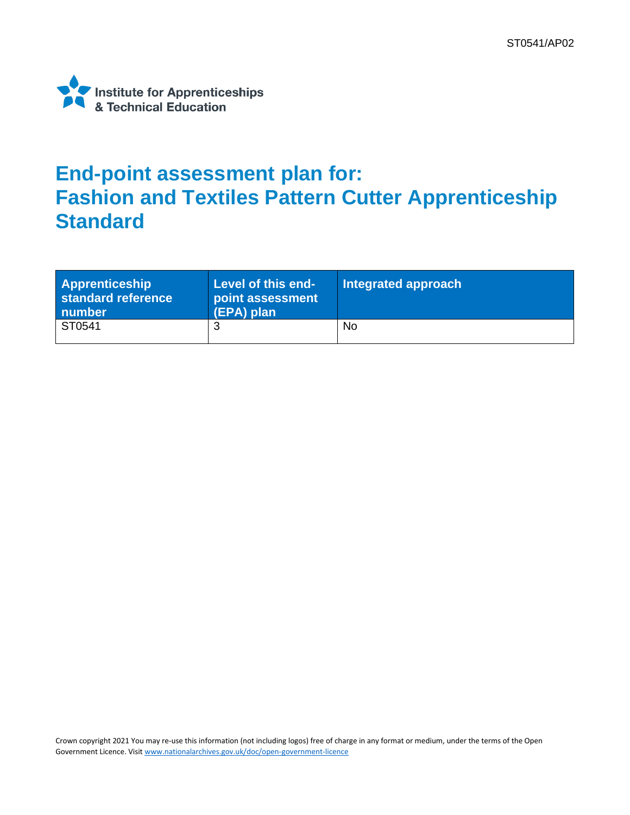

## **End-point assessment plan for: Fashion and Textiles Pattern Cutter Apprenticeship Standard**

| <b>Apprenticeship</b><br>standard reference<br>number | Level of this end-<br>point assessment<br>(EPA) plan | Integrated approach |
|-------------------------------------------------------|------------------------------------------------------|---------------------|
| ST0541                                                |                                                      | No                  |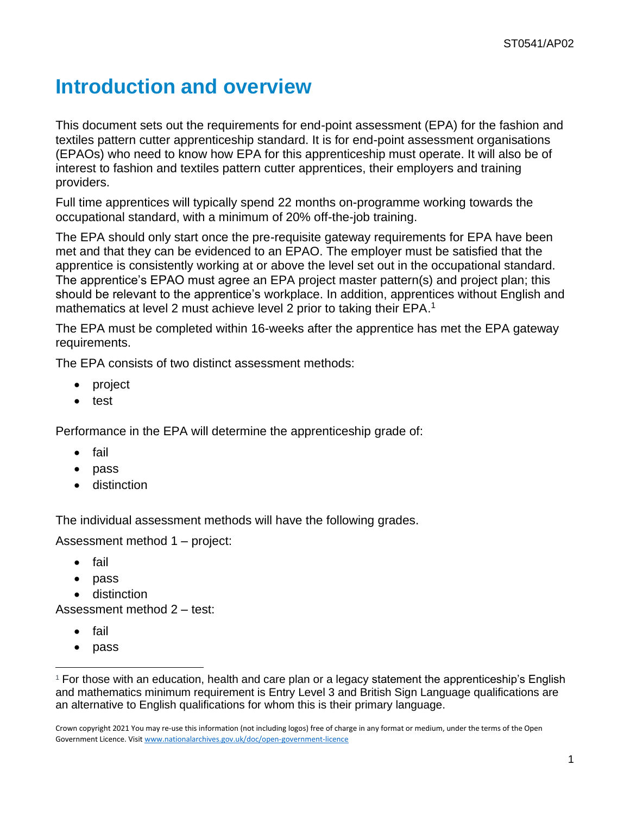## **Introduction and overview**

This document sets out the requirements for end-point assessment (EPA) for the fashion and textiles pattern cutter apprenticeship standard. It is for end-point assessment organisations (EPAOs) who need to know how EPA for this apprenticeship must operate. It will also be of interest to fashion and textiles pattern cutter apprentices, their employers and training providers.

Full time apprentices will typically spend 22 months on-programme working towards the occupational standard, with a minimum of 20% off-the-job training.

The EPA should only start once the pre-requisite gateway requirements for EPA have been met and that they can be evidenced to an EPAO. The employer must be satisfied that the apprentice is consistently working at or above the level set out in the occupational standard. The apprentice's EPAO must agree an EPA project master pattern(s) and project plan; this should be relevant to the apprentice's workplace. In addition, apprentices without English and mathematics at level 2 must achieve level 2 prior to taking their EPA.<sup>1</sup>

The EPA must be completed within 16-weeks after the apprentice has met the EPA gateway requirements.

The EPA consists of two distinct assessment methods:

- project
- test

Performance in the EPA will determine the apprenticeship grade of:

- fail
- pass
- distinction

The individual assessment methods will have the following grades.

Assessment method 1 – project:

- fail
- pass
- distinction

Assessment method 2 – test:

- fail
- pass

<sup>1</sup> For those with an education, health and care plan or a legacy statement the apprenticeship's English and mathematics minimum requirement is Entry Level 3 and British Sign Language qualifications are an alternative to English qualifications for whom this is their primary language.

Crown copyright 2021 You may re-use this information (not including logos) free of charge in any format or medium, under the terms of the Open Government Licence. Visi[t www.nationalarchives.gov.uk/doc/open-government-licence](http://www.nationalarchives.gov.uk/doc/open-government-licence)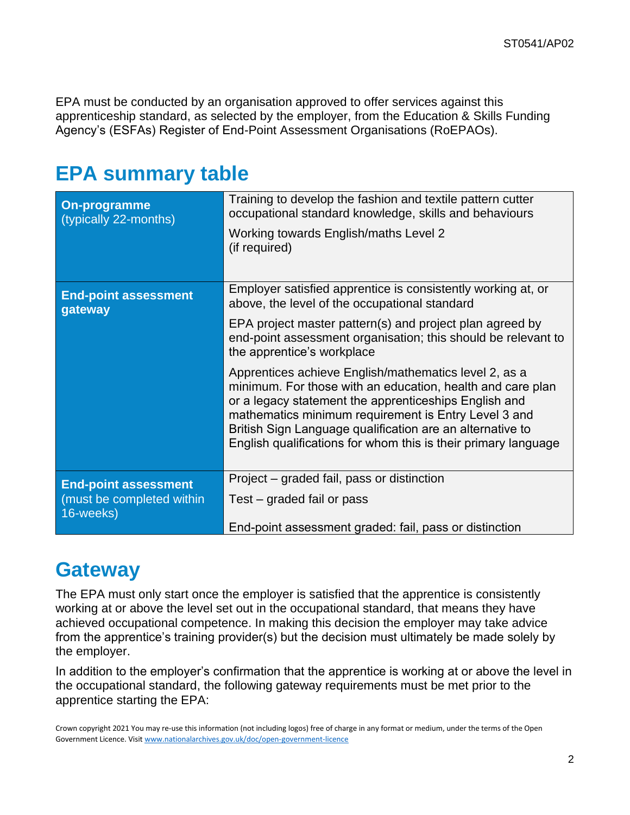EPA must be conducted by an organisation approved to offer services against this apprenticeship standard, as selected by the employer, from the Education & Skills Funding Agency's (ESFAs) Register of End-Point Assessment Organisations (RoEPAOs).

### **EPA summary table**

| On-programme<br>(typically 22-months)  | Training to develop the fashion and textile pattern cutter<br>occupational standard knowledge, skills and behaviours<br>Working towards English/maths Level 2<br>(if required)                                                                                                                                                                                      |
|----------------------------------------|---------------------------------------------------------------------------------------------------------------------------------------------------------------------------------------------------------------------------------------------------------------------------------------------------------------------------------------------------------------------|
| <b>End-point assessment</b><br>gateway | Employer satisfied apprentice is consistently working at, or<br>above, the level of the occupational standard                                                                                                                                                                                                                                                       |
|                                        | EPA project master pattern(s) and project plan agreed by<br>end-point assessment organisation; this should be relevant to<br>the apprentice's workplace                                                                                                                                                                                                             |
|                                        | Apprentices achieve English/mathematics level 2, as a<br>minimum. For those with an education, health and care plan<br>or a legacy statement the apprenticeships English and<br>mathematics minimum requirement is Entry Level 3 and<br>British Sign Language qualification are an alternative to<br>English qualifications for whom this is their primary language |
| <b>End-point assessment</b>            | Project – graded fail, pass or distinction                                                                                                                                                                                                                                                                                                                          |
| (must be completed within<br>16-weeks) | Test – graded fail or pass                                                                                                                                                                                                                                                                                                                                          |
|                                        | End-point assessment graded: fail, pass or distinction                                                                                                                                                                                                                                                                                                              |

### **Gateway**

The EPA must only start once the employer is satisfied that the apprentice is consistently working at or above the level set out in the occupational standard, that means they have achieved occupational competence. In making this decision the employer may take advice from the apprentice's training provider(s) but the decision must ultimately be made solely by the employer.

In addition to the employer's confirmation that the apprentice is working at or above the level in the occupational standard, the following gateway requirements must be met prior to the apprentice starting the EPA:

Crown copyright 2021 You may re-use this information (not including logos) free of charge in any format or medium, under the terms of the Open Government Licence. Visi[t www.nationalarchives.gov.uk/doc/open-government-licence](http://www.nationalarchives.gov.uk/doc/open-government-licence)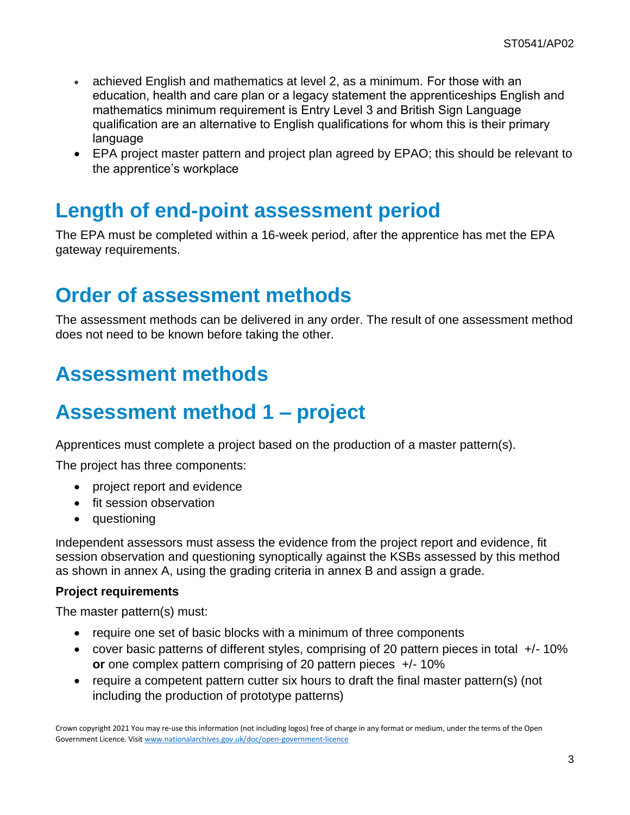- achieved English and mathematics at level 2, as a minimum. For those with an education, health and care plan or a legacy statement the apprenticeships English and mathematics minimum requirement is Entry Level 3 and British Sign Language qualification are an alternative to English qualifications for whom this is their primary language
- EPA project master pattern and project plan agreed by EPAO; this should be relevant to the apprentice's workplace

### **Length of end-point assessment period**

The EPA must be completed within a 16-week period, after the apprentice has met the EPA gateway requirements.

### **Order of assessment methods**

The assessment methods can be delivered in any order. The result of one assessment method does not need to be known before taking the other.

## **Assessment methods**

## **Assessment method 1 – project**

Apprentices must complete a project based on the production of a master pattern(s).

The project has three components:

- project report and evidence
- fit session observation
- questioning

Independent assessors must assess the evidence from the project report and evidence, fit session observation and questioning synoptically against the KSBs assessed by this method as shown in annex A, using the grading criteria in annex B and assign a grade.

### **Project requirements**

The master pattern(s) must:

- require one set of basic blocks with a minimum of three components
- cover basic patterns of different styles, comprising of 20 pattern pieces in total +/- 10% **or** one complex pattern comprising of 20 pattern pieces +/- 10%
- require a competent pattern cutter six hours to draft the final master pattern(s) (not including the production of prototype patterns)

Crown copyright 2021 You may re-use this information (not including logos) free of charge in any format or medium, under the terms of the Open Government Licence. Visi[t www.nationalarchives.gov.uk/doc/open-government-licence](http://www.nationalarchives.gov.uk/doc/open-government-licence)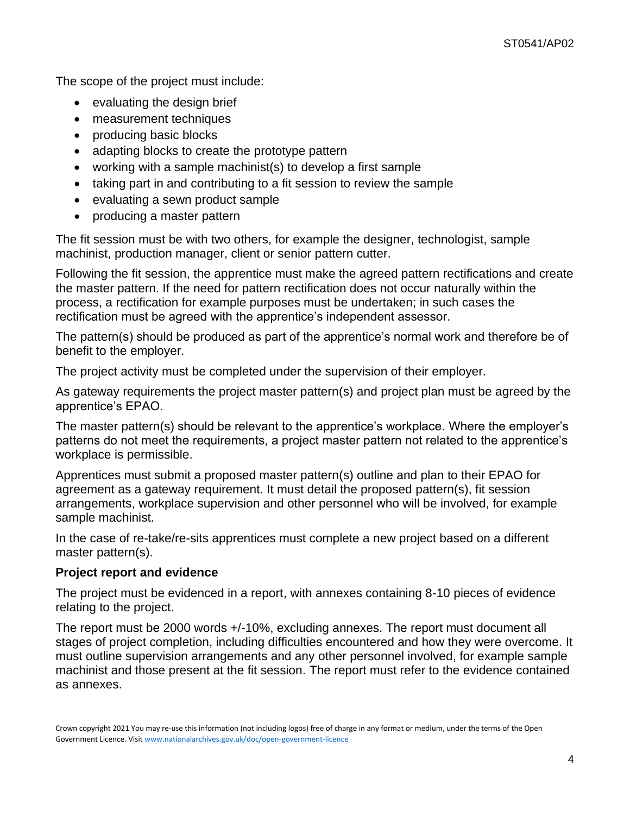The scope of the project must include:

- evaluating the design brief
- measurement techniques
- producing basic blocks
- adapting blocks to create the prototype pattern
- working with a sample machinist(s) to develop a first sample
- taking part in and contributing to a fit session to review the sample
- evaluating a sewn product sample
- producing a master pattern

The fit session must be with two others, for example the designer, technologist, sample machinist, production manager, client or senior pattern cutter.

Following the fit session, the apprentice must make the agreed pattern rectifications and create the master pattern. If the need for pattern rectification does not occur naturally within the process, a rectification for example purposes must be undertaken; in such cases the rectification must be agreed with the apprentice's independent assessor.

The pattern(s) should be produced as part of the apprentice's normal work and therefore be of benefit to the employer.

The project activity must be completed under the supervision of their employer.

As gateway requirements the project master pattern(s) and project plan must be agreed by the apprentice's EPAO.

The master pattern(s) should be relevant to the apprentice's workplace. Where the employer's patterns do not meet the requirements, a project master pattern not related to the apprentice's workplace is permissible.

Apprentices must submit a proposed master pattern(s) outline and plan to their EPAO for agreement as a gateway requirement. It must detail the proposed pattern(s), fit session arrangements, workplace supervision and other personnel who will be involved, for example sample machinist.

In the case of re-take/re-sits apprentices must complete a new project based on a different master pattern(s).

### **Project report and evidence**

The project must be evidenced in a report, with annexes containing 8-10 pieces of evidence relating to the project.

The report must be 2000 words +/-10%, excluding annexes. The report must document all stages of project completion, including difficulties encountered and how they were overcome. It must outline supervision arrangements and any other personnel involved, for example sample machinist and those present at the fit session. The report must refer to the evidence contained as annexes.

Crown copyright 2021 You may re-use this information (not including logos) free of charge in any format or medium, under the terms of the Open Government Licence. Visi[t www.nationalarchives.gov.uk/doc/open-government-licence](http://www.nationalarchives.gov.uk/doc/open-government-licence)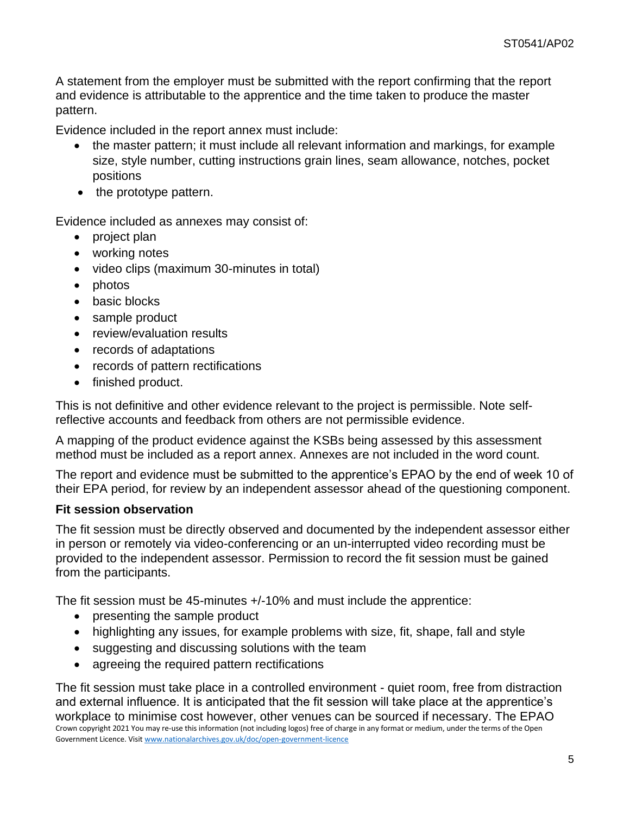A statement from the employer must be submitted with the report confirming that the report and evidence is attributable to the apprentice and the time taken to produce the master pattern.

Evidence included in the report annex must include:

- the master pattern; it must include all relevant information and markings, for example size, style number, cutting instructions grain lines, seam allowance, notches, pocket positions
- the prototype pattern.

Evidence included as annexes may consist of:

- project plan
- working notes
- video clips (maximum 30-minutes in total)
- photos
- basic blocks
- sample product
- review/evaluation results
- records of adaptations
- records of pattern rectifications
- finished product.

This is not definitive and other evidence relevant to the project is permissible. Note selfreflective accounts and feedback from others are not permissible evidence.

A mapping of the product evidence against the KSBs being assessed by this assessment method must be included as a report annex. Annexes are not included in the word count.

The report and evidence must be submitted to the apprentice's EPAO by the end of week 10 of their EPA period, for review by an independent assessor ahead of the questioning component.

#### **Fit session observation**

The fit session must be directly observed and documented by the independent assessor either in person or remotely via video-conferencing or an un-interrupted video recording must be provided to the independent assessor. Permission to record the fit session must be gained from the participants.

The fit session must be 45-minutes +/-10% and must include the apprentice:

- presenting the sample product
- highlighting any issues, for example problems with size, fit, shape, fall and style
- suggesting and discussing solutions with the team
- agreeing the required pattern rectifications

Crown copyright 2021 You may re-use this information (not including logos) free of charge in any format or medium, under the terms of the Open Government Licence. Visi[t www.nationalarchives.gov.uk/doc/open-government-licence](http://www.nationalarchives.gov.uk/doc/open-government-licence) The fit session must take place in a controlled environment - quiet room, free from distraction and external influence. It is anticipated that the fit session will take place at the apprentice's workplace to minimise cost however, other venues can be sourced if necessary. The EPAO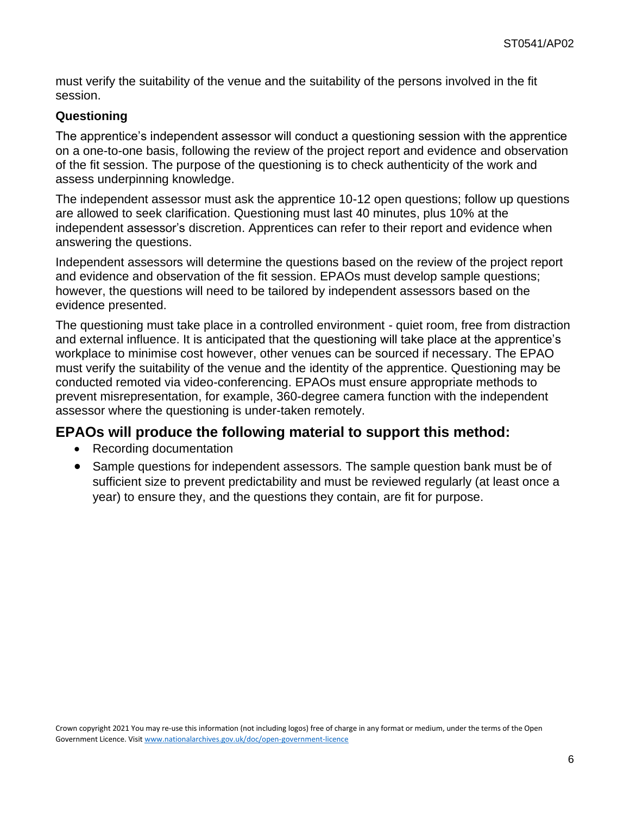must verify the suitability of the venue and the suitability of the persons involved in the fit session.

#### **Questioning**

The apprentice's independent assessor will conduct a questioning session with the apprentice on a one-to-one basis, following the review of the project report and evidence and observation of the fit session. The purpose of the questioning is to check authenticity of the work and assess underpinning knowledge.

The independent assessor must ask the apprentice 10-12 open questions; follow up questions are allowed to seek clarification. Questioning must last 40 minutes, plus 10% at the independent assessor's discretion. Apprentices can refer to their report and evidence when answering the questions.

Independent assessors will determine the questions based on the review of the project report and evidence and observation of the fit session. EPAOs must develop sample questions; however, the questions will need to be tailored by independent assessors based on the evidence presented.

The questioning must take place in a controlled environment - quiet room, free from distraction and external influence. It is anticipated that the questioning will take place at the apprentice's workplace to minimise cost however, other venues can be sourced if necessary. The EPAO must verify the suitability of the venue and the identity of the apprentice. Questioning may be conducted remoted via video-conferencing. EPAOs must ensure appropriate methods to prevent misrepresentation, for example, 360-degree camera function with the independent assessor where the questioning is under-taken remotely.

### **EPAOs will produce the following material to support this method:**

- Recording documentation
- Sample questions for independent assessors. The sample question bank must be of sufficient size to prevent predictability and must be reviewed regularly (at least once a year) to ensure they, and the questions they contain, are fit for purpose.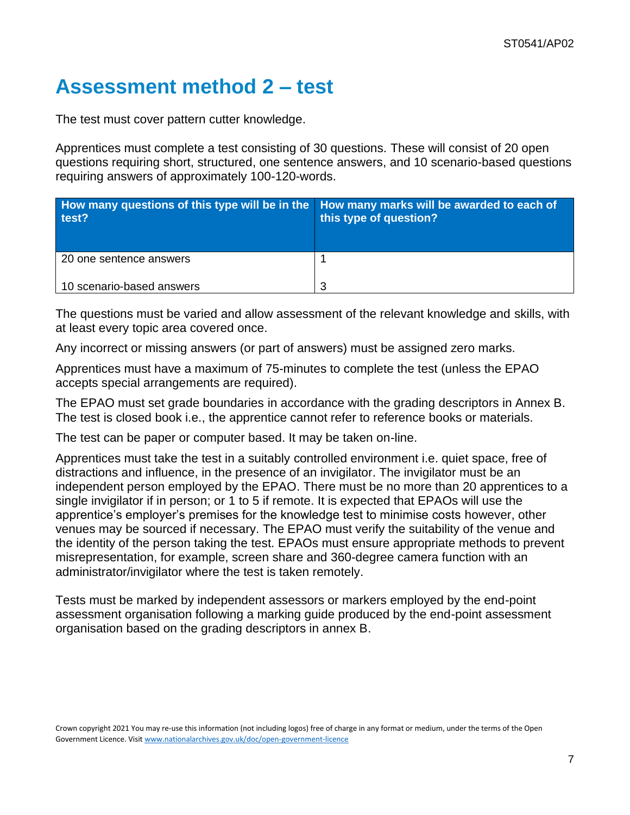## **Assessment method 2 – test**

The test must cover pattern cutter knowledge.

Apprentices must complete a test consisting of 30 questions. These will consist of 20 open questions requiring short, structured, one sentence answers, and 10 scenario-based questions requiring answers of approximately 100-120-words.

| How many questions of this type will be in the How many marks will be awarded to each of<br>test? | this type of question? |
|---------------------------------------------------------------------------------------------------|------------------------|
| 20 one sentence answers                                                                           |                        |
| 10 scenario-based answers                                                                         | 3                      |

The questions must be varied and allow assessment of the relevant knowledge and skills, with at least every topic area covered once.

Any incorrect or missing answers (or part of answers) must be assigned zero marks.

Apprentices must have a maximum of 75-minutes to complete the test (unless the EPAO accepts special arrangements are required).

The EPAO must set grade boundaries in accordance with the grading descriptors in Annex B. The test is closed book i.e., the apprentice cannot refer to reference books or materials.

The test can be paper or computer based. It may be taken on-line.

Apprentices must take the test in a suitably controlled environment i.e. quiet space, free of distractions and influence, in the presence of an invigilator. The invigilator must be an independent person employed by the EPAO. There must be no more than 20 apprentices to a single invigilator if in person; or 1 to 5 if remote. It is expected that EPAOs will use the apprentice's employer's premises for the knowledge test to minimise costs however, other venues may be sourced if necessary. The EPAO must verify the suitability of the venue and the identity of the person taking the test. EPAOs must ensure appropriate methods to prevent misrepresentation, for example, screen share and 360-degree camera function with an administrator/invigilator where the test is taken remotely.

Tests must be marked by independent assessors or markers employed by the end-point assessment organisation following a marking guide produced by the end-point assessment organisation based on the grading descriptors in annex B.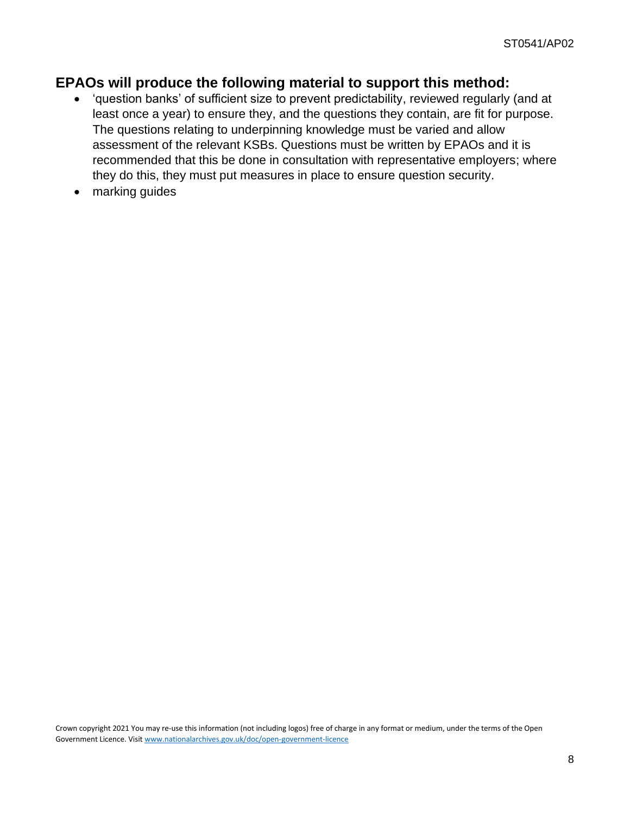### **EPAOs will produce the following material to support this method:**

- 'question banks' of sufficient size to prevent predictability, reviewed regularly (and at least once a year) to ensure they, and the questions they contain, are fit for purpose. The questions relating to underpinning knowledge must be varied and allow assessment of the relevant KSBs. Questions must be written by EPAOs and it is recommended that this be done in consultation with representative employers; where they do this, they must put measures in place to ensure question security.
- marking guides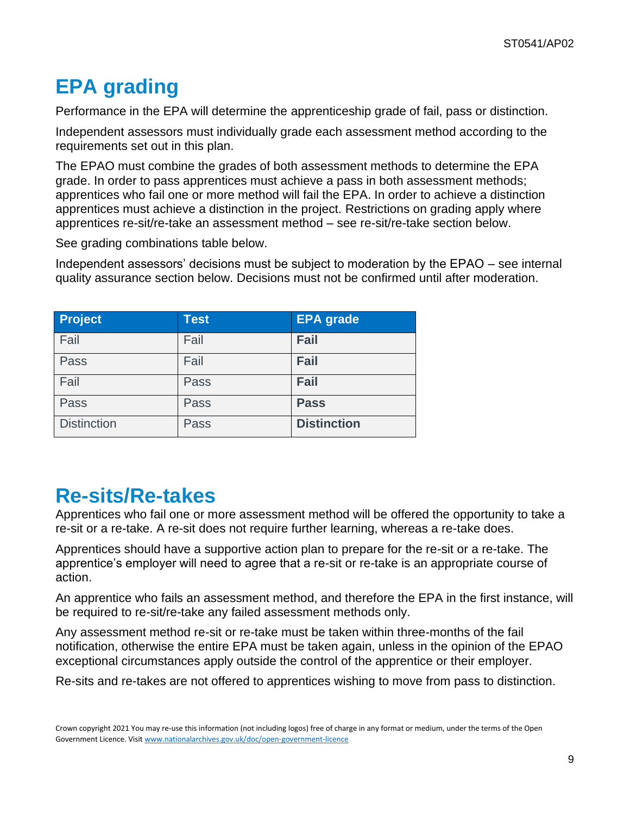# **EPA grading**

Performance in the EPA will determine the apprenticeship grade of fail, pass or distinction.

Independent assessors must individually grade each assessment method according to the requirements set out in this plan.

The EPAO must combine the grades of both assessment methods to determine the EPA grade. In order to pass apprentices must achieve a pass in both assessment methods; apprentices who fail one or more method will fail the EPA. In order to achieve a distinction apprentices must achieve a distinction in the project. Restrictions on grading apply where apprentices re-sit/re-take an assessment method – see re-sit/re-take section below.

See grading combinations table below.

Independent assessors' decisions must be subject to moderation by the EPAO – see internal quality assurance section below. Decisions must not be confirmed until after moderation.

| <b>Project</b>     | <b>Test</b> | <b>EPA</b> grade   |
|--------------------|-------------|--------------------|
| Fail               | Fail        | Fail               |
| Pass               | Fail        | Fail               |
| Fail               | Pass        | Fail               |
| Pass               | Pass        | <b>Pass</b>        |
| <b>Distinction</b> | Pass        | <b>Distinction</b> |

### **Re-sits/Re-takes**

Apprentices who fail one or more assessment method will be offered the opportunity to take a re-sit or a re-take. A re-sit does not require further learning, whereas a re-take does.

Apprentices should have a supportive action plan to prepare for the re-sit or a re-take. The apprentice's employer will need to agree that a re-sit or re-take is an appropriate course of action.

An apprentice who fails an assessment method, and therefore the EPA in the first instance, will be required to re-sit/re-take any failed assessment methods only.

Any assessment method re-sit or re-take must be taken within three-months of the fail notification, otherwise the entire EPA must be taken again, unless in the opinion of the EPAO exceptional circumstances apply outside the control of the apprentice or their employer.

Re-sits and re-takes are not offered to apprentices wishing to move from pass to distinction.

Crown copyright 2021 You may re-use this information (not including logos) free of charge in any format or medium, under the terms of the Open Government Licence. Visi[t www.nationalarchives.gov.uk/doc/open-government-licence](http://www.nationalarchives.gov.uk/doc/open-government-licence)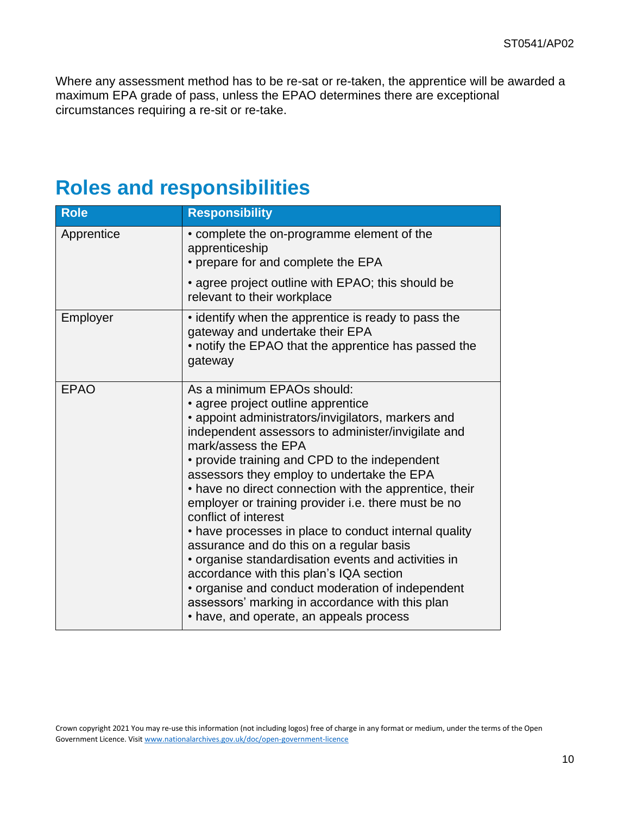Where any assessment method has to be re-sat or re-taken, the apprentice will be awarded a maximum EPA grade of pass, unless the EPAO determines there are exceptional circumstances requiring a re-sit or re-take.

### **Roles and responsibilities**

| <b>Role</b> | <b>Responsibility</b>                                                                                                                                                                                                                                                                                                                                                                                                                                                                                                                                                                                                                                                                                                                                                                                |
|-------------|------------------------------------------------------------------------------------------------------------------------------------------------------------------------------------------------------------------------------------------------------------------------------------------------------------------------------------------------------------------------------------------------------------------------------------------------------------------------------------------------------------------------------------------------------------------------------------------------------------------------------------------------------------------------------------------------------------------------------------------------------------------------------------------------------|
| Apprentice  | • complete the on-programme element of the<br>apprenticeship<br>• prepare for and complete the EPA                                                                                                                                                                                                                                                                                                                                                                                                                                                                                                                                                                                                                                                                                                   |
|             | • agree project outline with EPAO; this should be<br>relevant to their workplace                                                                                                                                                                                                                                                                                                                                                                                                                                                                                                                                                                                                                                                                                                                     |
| Employer    | • identify when the apprentice is ready to pass the<br>gateway and undertake their EPA<br>• notify the EPAO that the apprentice has passed the<br>gateway                                                                                                                                                                                                                                                                                                                                                                                                                                                                                                                                                                                                                                            |
| <b>EPAO</b> | As a minimum EPAOs should:<br>• agree project outline apprentice<br>• appoint administrators/invigilators, markers and<br>independent assessors to administer/invigilate and<br>mark/assess the EPA<br>• provide training and CPD to the independent<br>assessors they employ to undertake the EPA<br>• have no direct connection with the apprentice, their<br>employer or training provider i.e. there must be no<br>conflict of interest<br>• have processes in place to conduct internal quality<br>assurance and do this on a regular basis<br>• organise standardisation events and activities in<br>accordance with this plan's IQA section<br>• organise and conduct moderation of independent<br>assessors' marking in accordance with this plan<br>• have, and operate, an appeals process |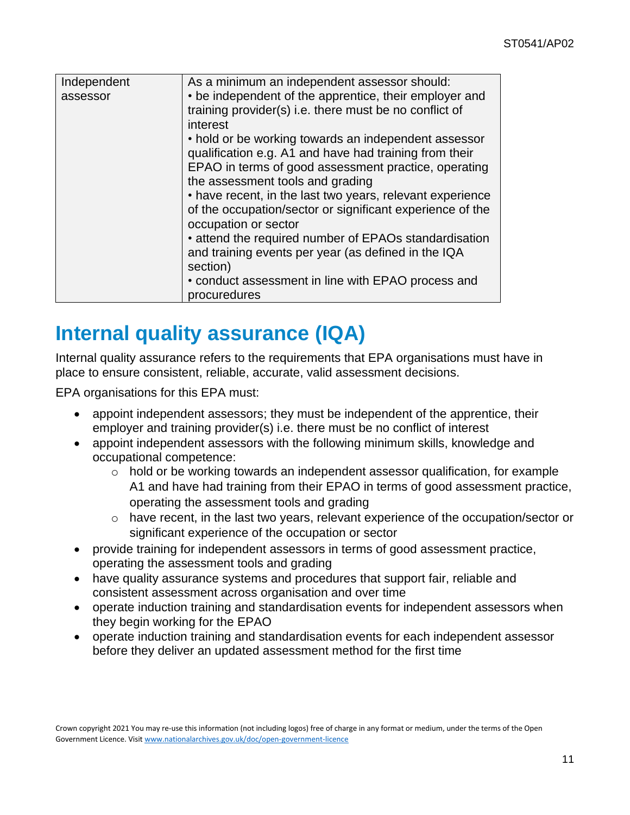| Independent | As a minimum an independent assessor should:                                                                     |  |
|-------------|------------------------------------------------------------------------------------------------------------------|--|
| assessor    | • be independent of the apprentice, their employer and<br>training provider(s) i.e. there must be no conflict of |  |
|             |                                                                                                                  |  |
|             | interest                                                                                                         |  |
|             | • hold or be working towards an independent assessor                                                             |  |
|             | qualification e.g. A1 and have had training from their                                                           |  |
|             | EPAO in terms of good assessment practice, operating                                                             |  |
|             | the assessment tools and grading                                                                                 |  |
|             | • have recent, in the last two years, relevant experience                                                        |  |
|             | of the occupation/sector or significant experience of the                                                        |  |
|             | occupation or sector                                                                                             |  |
|             | • attend the required number of EPAOs standardisation                                                            |  |
|             | and training events per year (as defined in the IQA                                                              |  |
|             | section)                                                                                                         |  |
|             | • conduct assessment in line with EPAO process and                                                               |  |
|             | procuredures                                                                                                     |  |

### **Internal quality assurance (IQA)**

Internal quality assurance refers to the requirements that EPA organisations must have in place to ensure consistent, reliable, accurate, valid assessment decisions.

EPA organisations for this EPA must:

- appoint independent assessors; they must be independent of the apprentice, their employer and training provider(s) i.e. there must be no conflict of interest
- appoint independent assessors with the following minimum skills, knowledge and occupational competence:
	- $\circ$  hold or be working towards an independent assessor qualification, for example A1 and have had training from their EPAO in terms of good assessment practice, operating the assessment tools and grading
	- o have recent, in the last two years, relevant experience of the occupation/sector or significant experience of the occupation or sector
- provide training for independent assessors in terms of good assessment practice, operating the assessment tools and grading
- have quality assurance systems and procedures that support fair, reliable and consistent assessment across organisation and over time
- operate induction training and standardisation events for independent assessors when they begin working for the EPAO
- operate induction training and standardisation events for each independent assessor before they deliver an updated assessment method for the first time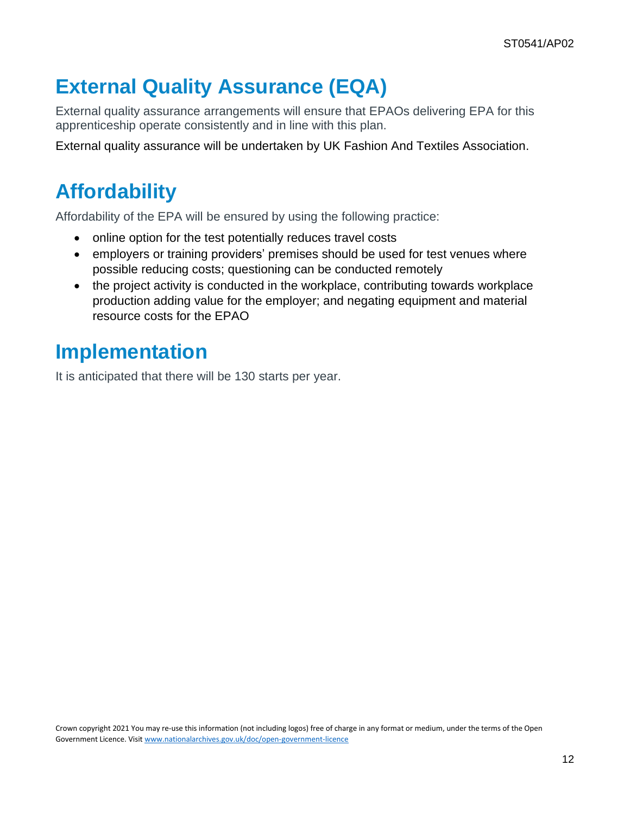# **External Quality Assurance (EQA)**

External quality assurance arrangements will ensure that EPAOs delivering EPA for this apprenticeship operate consistently and in line with this plan.

External quality assurance will be undertaken by UK Fashion And Textiles Association.

# **Affordability**

Affordability of the EPA will be ensured by using the following practice:

- online option for the test potentially reduces travel costs
- employers or training providers' premises should be used for test venues where possible reducing costs; questioning can be conducted remotely
- the project activity is conducted in the workplace, contributing towards workplace production adding value for the employer; and negating equipment and material resource costs for the EPAO

## **Implementation**

It is anticipated that there will be 130 starts per year.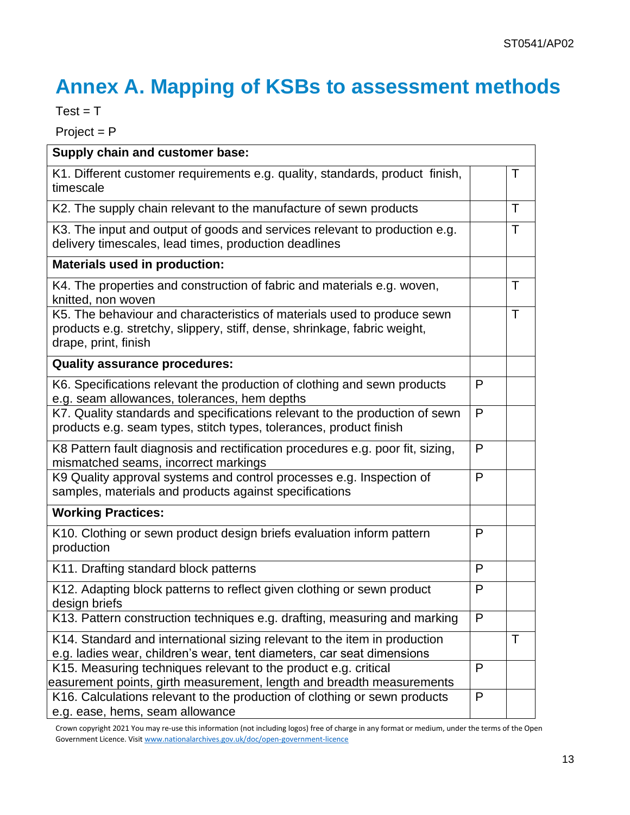# **Annex A. Mapping of KSBs to assessment methods**

 $Test = T$ 

Project = P

| Supply chain and customer base:                                                                                                                                              |   |              |
|------------------------------------------------------------------------------------------------------------------------------------------------------------------------------|---|--------------|
| K1. Different customer requirements e.g. quality, standards, product finish,<br>timescale                                                                                    |   | $\top$       |
| K2. The supply chain relevant to the manufacture of sewn products                                                                                                            |   | $\mathsf{T}$ |
| K3. The input and output of goods and services relevant to production e.g.<br>delivery timescales, lead times, production deadlines                                          |   | $\top$       |
| <b>Materials used in production:</b>                                                                                                                                         |   |              |
| K4. The properties and construction of fabric and materials e.g. woven,<br>knitted, non woven                                                                                |   | $\top$       |
| K5. The behaviour and characteristics of materials used to produce sewn<br>products e.g. stretchy, slippery, stiff, dense, shrinkage, fabric weight,<br>drape, print, finish |   | $\top$       |
| <b>Quality assurance procedures:</b>                                                                                                                                         |   |              |
| K6. Specifications relevant the production of clothing and sewn products<br>e.g. seam allowances, tolerances, hem depths                                                     | P |              |
| K7. Quality standards and specifications relevant to the production of sewn<br>products e.g. seam types, stitch types, tolerances, product finish                            | P |              |
| K8 Pattern fault diagnosis and rectification procedures e.g. poor fit, sizing,<br>mismatched seams, incorrect markings                                                       |   |              |
| K9 Quality approval systems and control processes e.g. Inspection of<br>samples, materials and products against specifications                                               |   |              |
| <b>Working Practices:</b>                                                                                                                                                    |   |              |
| K10. Clothing or sewn product design briefs evaluation inform pattern<br>production                                                                                          | P |              |
| K11. Drafting standard block patterns                                                                                                                                        |   |              |
| K12. Adapting block patterns to reflect given clothing or sewn product<br>design briefs                                                                                      | P |              |
| K13. Pattern construction techniques e.g. drafting, measuring and marking                                                                                                    | P |              |
| K14. Standard and international sizing relevant to the item in production<br>e.g. ladies wear, children's wear, tent diameters, car seat dimensions                          |   | $\mathsf{T}$ |
| K15. Measuring techniques relevant to the product e.g. critical<br>easurement points, girth measurement, length and breadth measurements                                     |   |              |
| K16. Calculations relevant to the production of clothing or sewn products<br>e.g. ease, hems, seam allowance                                                                 |   |              |

Crown copyright 2021 You may re-use this information (not including logos) free of charge in any format or medium, under the terms of the Open Government Licence. Visi[t www.nationalarchives.gov.uk/doc/open-government-licence](http://www.nationalarchives.gov.uk/doc/open-government-licence)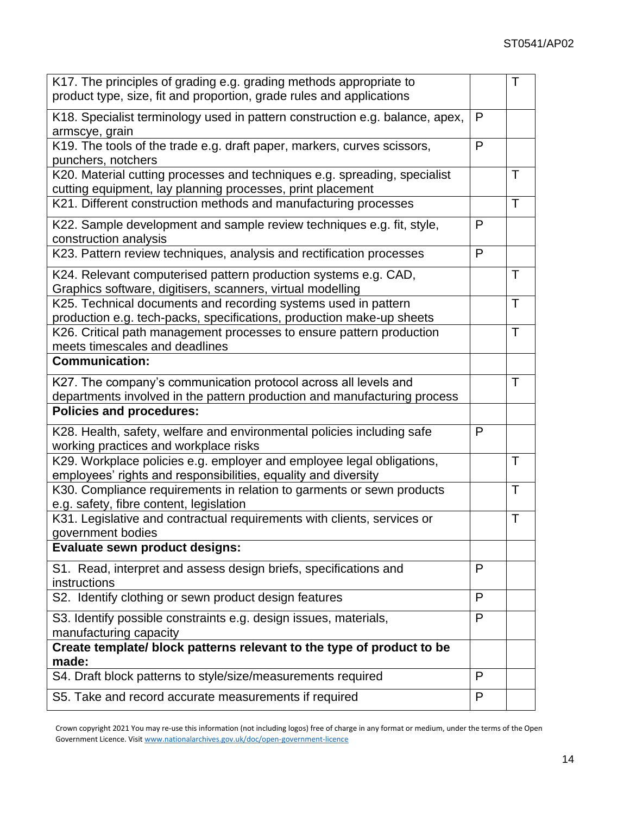| K17. The principles of grading e.g. grading methods appropriate to<br>product type, size, fit and proportion, grade rules and applications  |   |              |
|---------------------------------------------------------------------------------------------------------------------------------------------|---|--------------|
| K18. Specialist terminology used in pattern construction e.g. balance, apex,<br>armscye, grain                                              |   |              |
| K19. The tools of the trade e.g. draft paper, markers, curves scissors,<br>punchers, notchers                                               | P |              |
| K20. Material cutting processes and techniques e.g. spreading, specialist<br>cutting equipment, lay planning processes, print placement     |   | Τ            |
| K21. Different construction methods and manufacturing processes                                                                             |   | $\mathsf{T}$ |
| K22. Sample development and sample review techniques e.g. fit, style,<br>construction analysis                                              | P |              |
| K23. Pattern review techniques, analysis and rectification processes                                                                        | P |              |
| K24. Relevant computerised pattern production systems e.g. CAD,<br>Graphics software, digitisers, scanners, virtual modelling               |   | T            |
| K25. Technical documents and recording systems used in pattern<br>production e.g. tech-packs, specifications, production make-up sheets     |   | $\top$       |
| K26. Critical path management processes to ensure pattern production<br>meets timescales and deadlines                                      |   | Τ            |
| <b>Communication:</b>                                                                                                                       |   |              |
| K27. The company's communication protocol across all levels and<br>departments involved in the pattern production and manufacturing process |   | Τ            |
| <b>Policies and procedures:</b>                                                                                                             |   |              |
| K28. Health, safety, welfare and environmental policies including safe<br>working practices and workplace risks                             | P |              |
| K29. Workplace policies e.g. employer and employee legal obligations,<br>employees' rights and responsibilities, equality and diversity     |   | Τ            |
| K30. Compliance requirements in relation to garments or sewn products<br>e.g. safety, fibre content, legislation                            |   | T            |
| K31. Legislative and contractual requirements with clients, services or<br>government bodies                                                |   | $\mathsf{T}$ |
| Evaluate sewn product designs:                                                                                                              |   |              |
| S1. Read, interpret and assess design briefs, specifications and<br>instructions                                                            | P |              |
| S2. Identify clothing or sewn product design features                                                                                       |   |              |
| S3. Identify possible constraints e.g. design issues, materials,<br>manufacturing capacity                                                  |   |              |
| Create template/ block patterns relevant to the type of product to be<br>made:                                                              |   |              |
| S4. Draft block patterns to style/size/measurements required                                                                                | P |              |
| S5. Take and record accurate measurements if required                                                                                       | P |              |

Crown copyright 2021 You may re-use this information (not including logos) free of charge in any format or medium, under the terms of the Open Government Licence. Visi[t www.nationalarchives.gov.uk/doc/open-government-licence](http://www.nationalarchives.gov.uk/doc/open-government-licence)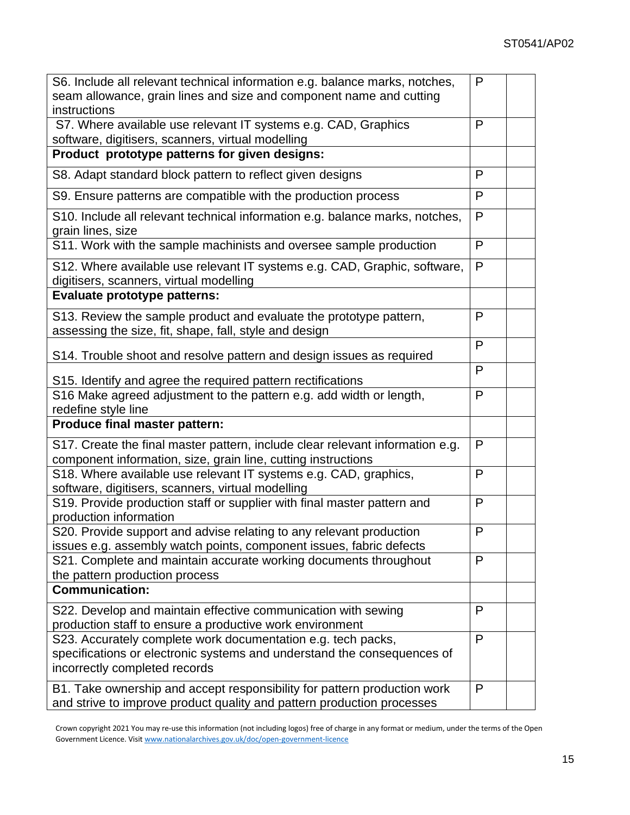| S6. Include all relevant technical information e.g. balance marks, notches,<br>seam allowance, grain lines and size and component name and cutting<br>instructions       |              |  |
|--------------------------------------------------------------------------------------------------------------------------------------------------------------------------|--------------|--|
| S7. Where available use relevant IT systems e.g. CAD, Graphics<br>software, digitisers, scanners, virtual modelling                                                      |              |  |
| Product prototype patterns for given designs:                                                                                                                            |              |  |
| S8. Adapt standard block pattern to reflect given designs                                                                                                                | P            |  |
| S9. Ensure patterns are compatible with the production process                                                                                                           | P            |  |
| S10. Include all relevant technical information e.g. balance marks, notches,<br>grain lines, size                                                                        | P            |  |
| S11. Work with the sample machinists and oversee sample production                                                                                                       | P            |  |
| S12. Where available use relevant IT systems e.g. CAD, Graphic, software,<br>digitisers, scanners, virtual modelling                                                     | P            |  |
| Evaluate prototype patterns:                                                                                                                                             |              |  |
| S13. Review the sample product and evaluate the prototype pattern,<br>assessing the size, fit, shape, fall, style and design                                             | P            |  |
| S14. Trouble shoot and resolve pattern and design issues as required                                                                                                     | P            |  |
| S15. Identify and agree the required pattern rectifications                                                                                                              | P            |  |
| S16 Make agreed adjustment to the pattern e.g. add width or length,<br>redefine style line                                                                               |              |  |
| Produce final master pattern:                                                                                                                                            |              |  |
| S17. Create the final master pattern, include clear relevant information e.g.<br>component information, size, grain line, cutting instructions                           | $\mathsf{P}$ |  |
| S18. Where available use relevant IT systems e.g. CAD, graphics,<br>software, digitisers, scanners, virtual modelling                                                    | P            |  |
| S19. Provide production staff or supplier with final master pattern and<br>production information                                                                        | P            |  |
| S20. Provide support and advise relating to any relevant production<br>issues e.g. assembly watch points, component issues, fabric defects                               | P            |  |
| S21. Complete and maintain accurate working documents throughout<br>the pattern production process                                                                       |              |  |
| <b>Communication:</b>                                                                                                                                                    |              |  |
| S22. Develop and maintain effective communication with sewing<br>production staff to ensure a productive work environment                                                | P            |  |
| S23. Accurately complete work documentation e.g. tech packs,<br>specifications or electronic systems and understand the consequences of<br>incorrectly completed records | P            |  |
| B1. Take ownership and accept responsibility for pattern production work<br>and strive to improve product quality and pattern production processes                       |              |  |

Crown copyright 2021 You may re-use this information (not including logos) free of charge in any format or medium, under the terms of the Open Government Licence. Visi[t www.nationalarchives.gov.uk/doc/open-government-licence](http://www.nationalarchives.gov.uk/doc/open-government-licence)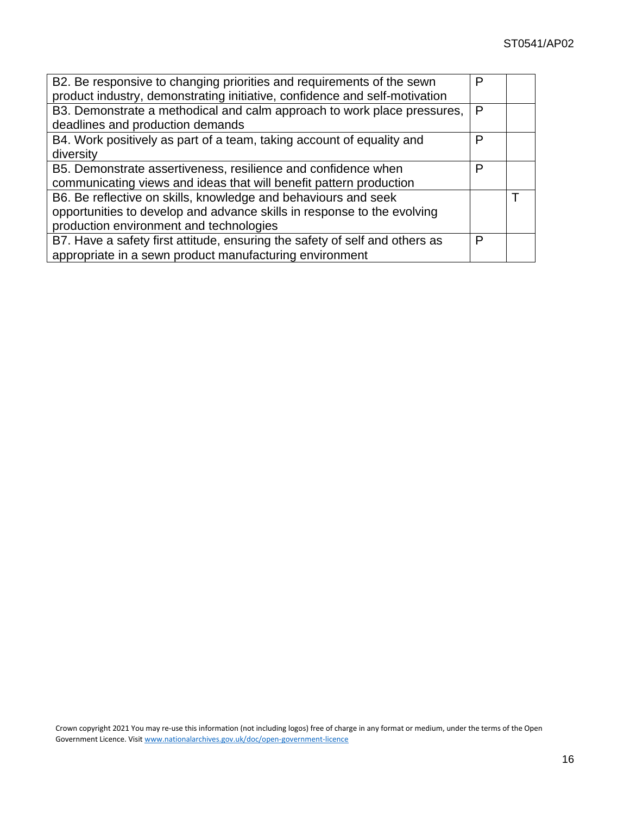| B2. Be responsive to changing priorities and requirements of the sewn       |   |  |
|-----------------------------------------------------------------------------|---|--|
| product industry, demonstrating initiative, confidence and self-motivation  |   |  |
| B3. Demonstrate a methodical and calm approach to work place pressures,     |   |  |
| deadlines and production demands                                            |   |  |
| B4. Work positively as part of a team, taking account of equality and       | P |  |
| diversity                                                                   |   |  |
| B5. Demonstrate assertiveness, resilience and confidence when               | P |  |
| communicating views and ideas that will benefit pattern production          |   |  |
| B6. Be reflective on skills, knowledge and behaviours and seek              |   |  |
| opportunities to develop and advance skills in response to the evolving     |   |  |
| production environment and technologies                                     |   |  |
| B7. Have a safety first attitude, ensuring the safety of self and others as | P |  |
| appropriate in a sewn product manufacturing environment                     |   |  |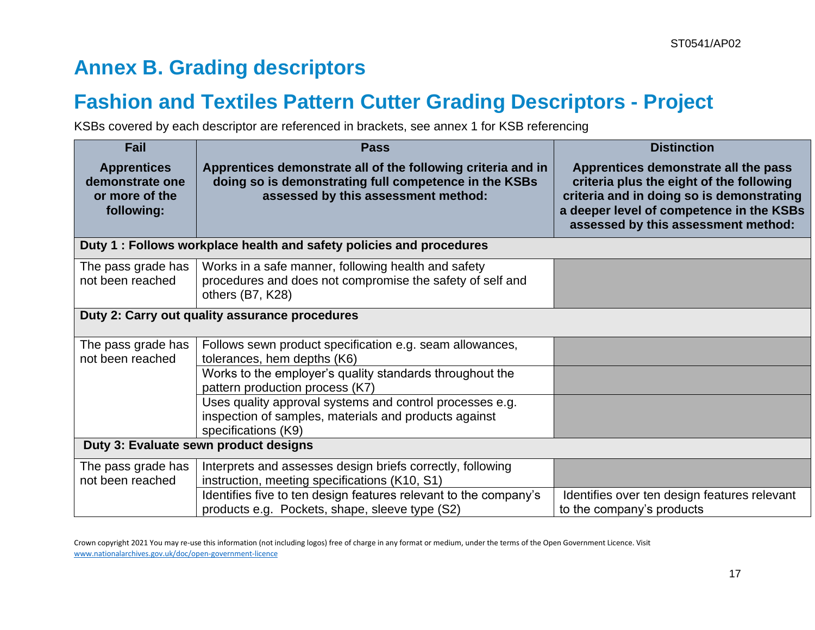## **Annex B. Grading descriptors**

### **Fashion and Textiles Pattern Cutter Grading Descriptors - Project**

KSBs covered by each descriptor are referenced in brackets, see annex 1 for KSB referencing

| Fail                                                                  | <b>Pass</b>                                                                                                                                                  | <b>Distinction</b>                                                                                                                                                                                               |
|-----------------------------------------------------------------------|--------------------------------------------------------------------------------------------------------------------------------------------------------------|------------------------------------------------------------------------------------------------------------------------------------------------------------------------------------------------------------------|
| <b>Apprentices</b><br>demonstrate one<br>or more of the<br>following: | Apprentices demonstrate all of the following criteria and in<br>doing so is demonstrating full competence in the KSBs<br>assessed by this assessment method: | Apprentices demonstrate all the pass<br>criteria plus the eight of the following<br>criteria and in doing so is demonstrating<br>a deeper level of competence in the KSBs<br>assessed by this assessment method: |
|                                                                       | Duty 1: Follows workplace health and safety policies and procedures                                                                                          |                                                                                                                                                                                                                  |
| The pass grade has<br>not been reached                                | Works in a safe manner, following health and safety<br>procedures and does not compromise the safety of self and<br>others (B7, K28)                         |                                                                                                                                                                                                                  |
|                                                                       | Duty 2: Carry out quality assurance procedures                                                                                                               |                                                                                                                                                                                                                  |
| The pass grade has<br>not been reached                                | Follows sewn product specification e.g. seam allowances,<br>tolerances, hem depths (K6)                                                                      |                                                                                                                                                                                                                  |
|                                                                       | Works to the employer's quality standards throughout the<br>pattern production process (K7)                                                                  |                                                                                                                                                                                                                  |
|                                                                       | Uses quality approval systems and control processes e.g.<br>inspection of samples, materials and products against<br>specifications (K9)                     |                                                                                                                                                                                                                  |
|                                                                       | Duty 3: Evaluate sewn product designs                                                                                                                        |                                                                                                                                                                                                                  |
| The pass grade has<br>not been reached                                | Interprets and assesses design briefs correctly, following<br>instruction, meeting specifications (K10, S1)                                                  |                                                                                                                                                                                                                  |
|                                                                       | Identifies five to ten design features relevant to the company's<br>products e.g. Pockets, shape, sleeve type (S2)                                           | Identifies over ten design features relevant<br>to the company's products                                                                                                                                        |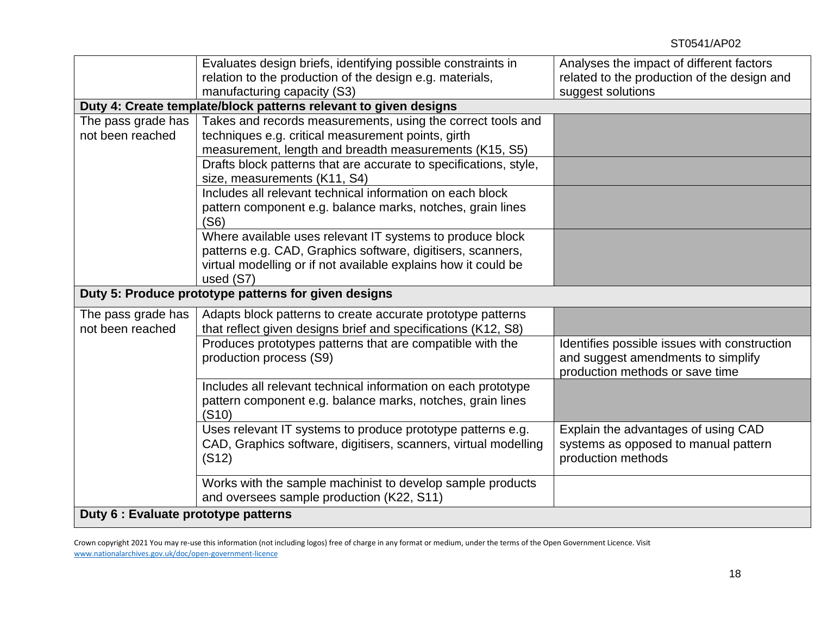|                                        | Evaluates design briefs, identifying possible constraints in<br>relation to the production of the design e.g. materials,                                                                                | Analyses the impact of different factors<br>related to the production of the design and                               |
|----------------------------------------|---------------------------------------------------------------------------------------------------------------------------------------------------------------------------------------------------------|-----------------------------------------------------------------------------------------------------------------------|
|                                        | manufacturing capacity (S3)                                                                                                                                                                             | suggest solutions                                                                                                     |
|                                        | Duty 4: Create template/block patterns relevant to given designs                                                                                                                                        |                                                                                                                       |
| The pass grade has                     | Takes and records measurements, using the correct tools and                                                                                                                                             |                                                                                                                       |
| not been reached                       | techniques e.g. critical measurement points, girth<br>measurement, length and breadth measurements (K15, S5)                                                                                            |                                                                                                                       |
|                                        | Drafts block patterns that are accurate to specifications, style,<br>size, measurements (K11, S4)                                                                                                       |                                                                                                                       |
|                                        | Includes all relevant technical information on each block<br>pattern component e.g. balance marks, notches, grain lines<br>(S6)                                                                         |                                                                                                                       |
|                                        | Where available uses relevant IT systems to produce block<br>patterns e.g. CAD, Graphics software, digitisers, scanners,<br>virtual modelling or if not available explains how it could be<br>used (S7) |                                                                                                                       |
|                                        | Duty 5: Produce prototype patterns for given designs                                                                                                                                                    |                                                                                                                       |
| The pass grade has<br>not been reached | Adapts block patterns to create accurate prototype patterns<br>that reflect given designs brief and specifications (K12, S8)                                                                            |                                                                                                                       |
|                                        | Produces prototypes patterns that are compatible with the<br>production process (S9)                                                                                                                    | Identifies possible issues with construction<br>and suggest amendments to simplify<br>production methods or save time |
|                                        | Includes all relevant technical information on each prototype<br>pattern component e.g. balance marks, notches, grain lines<br>(S10)                                                                    |                                                                                                                       |
|                                        | Uses relevant IT systems to produce prototype patterns e.g.<br>CAD, Graphics software, digitisers, scanners, virtual modelling<br>(S12)                                                                 | Explain the advantages of using CAD<br>systems as opposed to manual pattern<br>production methods                     |
|                                        | Works with the sample machinist to develop sample products<br>and oversees sample production (K22, S11)                                                                                                 |                                                                                                                       |
| Duty 6 : Evaluate prototype patterns   |                                                                                                                                                                                                         |                                                                                                                       |

Crown copyright 2021 You may re-use this information (not including logos) free of charge in any format or medium, under the terms of the Open Government Licence. Visit [www.nationalarchives.gov.uk/doc/open-government-licence](http://www.nationalarchives.gov.uk/doc/open-government-licence)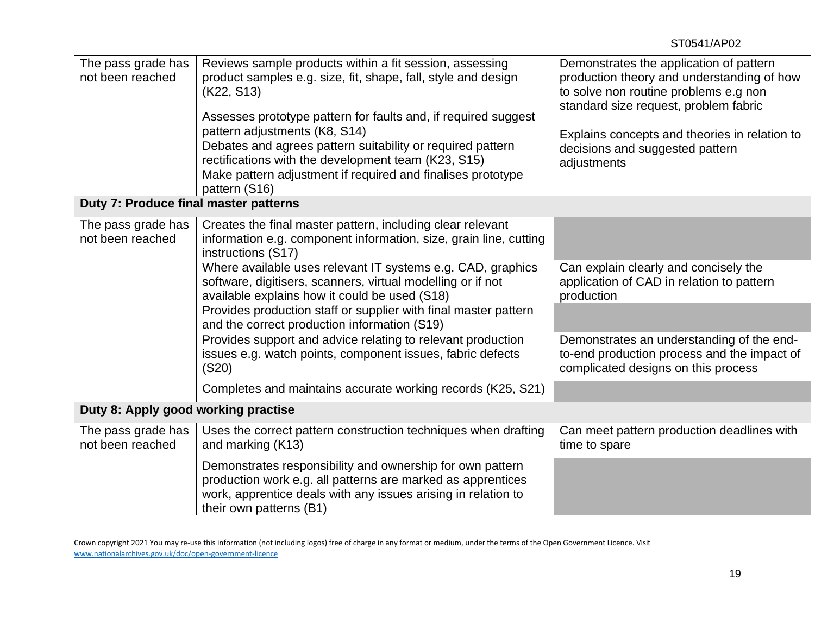| The pass grade has<br>Reviews sample products within a fit session, assessing<br>Demonstrates the application of pattern<br>not been reached<br>product samples e.g. size, fit, shape, fall, style and design<br>production theory and understanding of how<br>to solve non routine problems e.g non<br>(K22, S13)<br>standard size request, problem fabric<br>Assesses prototype pattern for faults and, if required suggest<br>pattern adjustments (K8, S14)<br>Explains concepts and theories in relation to<br>Debates and agrees pattern suitability or required pattern<br>decisions and suggested pattern<br>rectifications with the development team (K23, S15)<br>adjustments<br>Make pattern adjustment if required and finalises prototype<br>pattern (S16)<br>Duty 7: Produce final master patterns<br>Creates the final master pattern, including clear relevant<br>The pass grade has<br>not been reached<br>information e.g. component information, size, grain line, cutting<br>instructions (S17)<br>Where available uses relevant IT systems e.g. CAD, graphics<br>Can explain clearly and concisely the<br>software, digitisers, scanners, virtual modelling or if not<br>application of CAD in relation to pattern<br>available explains how it could be used (S18)<br>production<br>Provides production staff or supplier with final master pattern |  |  |  |  |  |  |
|--------------------------------------------------------------------------------------------------------------------------------------------------------------------------------------------------------------------------------------------------------------------------------------------------------------------------------------------------------------------------------------------------------------------------------------------------------------------------------------------------------------------------------------------------------------------------------------------------------------------------------------------------------------------------------------------------------------------------------------------------------------------------------------------------------------------------------------------------------------------------------------------------------------------------------------------------------------------------------------------------------------------------------------------------------------------------------------------------------------------------------------------------------------------------------------------------------------------------------------------------------------------------------------------------------------------------------------------------------------------------|--|--|--|--|--|--|
|                                                                                                                                                                                                                                                                                                                                                                                                                                                                                                                                                                                                                                                                                                                                                                                                                                                                                                                                                                                                                                                                                                                                                                                                                                                                                                                                                                          |  |  |  |  |  |  |
|                                                                                                                                                                                                                                                                                                                                                                                                                                                                                                                                                                                                                                                                                                                                                                                                                                                                                                                                                                                                                                                                                                                                                                                                                                                                                                                                                                          |  |  |  |  |  |  |
|                                                                                                                                                                                                                                                                                                                                                                                                                                                                                                                                                                                                                                                                                                                                                                                                                                                                                                                                                                                                                                                                                                                                                                                                                                                                                                                                                                          |  |  |  |  |  |  |
|                                                                                                                                                                                                                                                                                                                                                                                                                                                                                                                                                                                                                                                                                                                                                                                                                                                                                                                                                                                                                                                                                                                                                                                                                                                                                                                                                                          |  |  |  |  |  |  |
|                                                                                                                                                                                                                                                                                                                                                                                                                                                                                                                                                                                                                                                                                                                                                                                                                                                                                                                                                                                                                                                                                                                                                                                                                                                                                                                                                                          |  |  |  |  |  |  |
|                                                                                                                                                                                                                                                                                                                                                                                                                                                                                                                                                                                                                                                                                                                                                                                                                                                                                                                                                                                                                                                                                                                                                                                                                                                                                                                                                                          |  |  |  |  |  |  |
|                                                                                                                                                                                                                                                                                                                                                                                                                                                                                                                                                                                                                                                                                                                                                                                                                                                                                                                                                                                                                                                                                                                                                                                                                                                                                                                                                                          |  |  |  |  |  |  |
|                                                                                                                                                                                                                                                                                                                                                                                                                                                                                                                                                                                                                                                                                                                                                                                                                                                                                                                                                                                                                                                                                                                                                                                                                                                                                                                                                                          |  |  |  |  |  |  |
|                                                                                                                                                                                                                                                                                                                                                                                                                                                                                                                                                                                                                                                                                                                                                                                                                                                                                                                                                                                                                                                                                                                                                                                                                                                                                                                                                                          |  |  |  |  |  |  |
|                                                                                                                                                                                                                                                                                                                                                                                                                                                                                                                                                                                                                                                                                                                                                                                                                                                                                                                                                                                                                                                                                                                                                                                                                                                                                                                                                                          |  |  |  |  |  |  |
|                                                                                                                                                                                                                                                                                                                                                                                                                                                                                                                                                                                                                                                                                                                                                                                                                                                                                                                                                                                                                                                                                                                                                                                                                                                                                                                                                                          |  |  |  |  |  |  |
|                                                                                                                                                                                                                                                                                                                                                                                                                                                                                                                                                                                                                                                                                                                                                                                                                                                                                                                                                                                                                                                                                                                                                                                                                                                                                                                                                                          |  |  |  |  |  |  |
|                                                                                                                                                                                                                                                                                                                                                                                                                                                                                                                                                                                                                                                                                                                                                                                                                                                                                                                                                                                                                                                                                                                                                                                                                                                                                                                                                                          |  |  |  |  |  |  |
|                                                                                                                                                                                                                                                                                                                                                                                                                                                                                                                                                                                                                                                                                                                                                                                                                                                                                                                                                                                                                                                                                                                                                                                                                                                                                                                                                                          |  |  |  |  |  |  |
|                                                                                                                                                                                                                                                                                                                                                                                                                                                                                                                                                                                                                                                                                                                                                                                                                                                                                                                                                                                                                                                                                                                                                                                                                                                                                                                                                                          |  |  |  |  |  |  |
|                                                                                                                                                                                                                                                                                                                                                                                                                                                                                                                                                                                                                                                                                                                                                                                                                                                                                                                                                                                                                                                                                                                                                                                                                                                                                                                                                                          |  |  |  |  |  |  |
|                                                                                                                                                                                                                                                                                                                                                                                                                                                                                                                                                                                                                                                                                                                                                                                                                                                                                                                                                                                                                                                                                                                                                                                                                                                                                                                                                                          |  |  |  |  |  |  |
|                                                                                                                                                                                                                                                                                                                                                                                                                                                                                                                                                                                                                                                                                                                                                                                                                                                                                                                                                                                                                                                                                                                                                                                                                                                                                                                                                                          |  |  |  |  |  |  |
| and the correct production information (S19)                                                                                                                                                                                                                                                                                                                                                                                                                                                                                                                                                                                                                                                                                                                                                                                                                                                                                                                                                                                                                                                                                                                                                                                                                                                                                                                             |  |  |  |  |  |  |
| Provides support and advice relating to relevant production<br>Demonstrates an understanding of the end-                                                                                                                                                                                                                                                                                                                                                                                                                                                                                                                                                                                                                                                                                                                                                                                                                                                                                                                                                                                                                                                                                                                                                                                                                                                                 |  |  |  |  |  |  |
| issues e.g. watch points, component issues, fabric defects<br>to-end production process and the impact of                                                                                                                                                                                                                                                                                                                                                                                                                                                                                                                                                                                                                                                                                                                                                                                                                                                                                                                                                                                                                                                                                                                                                                                                                                                                |  |  |  |  |  |  |
| complicated designs on this process<br>(S20)                                                                                                                                                                                                                                                                                                                                                                                                                                                                                                                                                                                                                                                                                                                                                                                                                                                                                                                                                                                                                                                                                                                                                                                                                                                                                                                             |  |  |  |  |  |  |
| Completes and maintains accurate working records (K25, S21)                                                                                                                                                                                                                                                                                                                                                                                                                                                                                                                                                                                                                                                                                                                                                                                                                                                                                                                                                                                                                                                                                                                                                                                                                                                                                                              |  |  |  |  |  |  |
|                                                                                                                                                                                                                                                                                                                                                                                                                                                                                                                                                                                                                                                                                                                                                                                                                                                                                                                                                                                                                                                                                                                                                                                                                                                                                                                                                                          |  |  |  |  |  |  |
| Duty 8: Apply good working practise                                                                                                                                                                                                                                                                                                                                                                                                                                                                                                                                                                                                                                                                                                                                                                                                                                                                                                                                                                                                                                                                                                                                                                                                                                                                                                                                      |  |  |  |  |  |  |
| Can meet pattern production deadlines with<br>The pass grade has<br>Uses the correct pattern construction techniques when drafting                                                                                                                                                                                                                                                                                                                                                                                                                                                                                                                                                                                                                                                                                                                                                                                                                                                                                                                                                                                                                                                                                                                                                                                                                                       |  |  |  |  |  |  |
| not been reached<br>and marking (K13)<br>time to spare                                                                                                                                                                                                                                                                                                                                                                                                                                                                                                                                                                                                                                                                                                                                                                                                                                                                                                                                                                                                                                                                                                                                                                                                                                                                                                                   |  |  |  |  |  |  |
| Demonstrates responsibility and ownership for own pattern                                                                                                                                                                                                                                                                                                                                                                                                                                                                                                                                                                                                                                                                                                                                                                                                                                                                                                                                                                                                                                                                                                                                                                                                                                                                                                                |  |  |  |  |  |  |
| production work e.g. all patterns are marked as apprentices                                                                                                                                                                                                                                                                                                                                                                                                                                                                                                                                                                                                                                                                                                                                                                                                                                                                                                                                                                                                                                                                                                                                                                                                                                                                                                              |  |  |  |  |  |  |
| work, apprentice deals with any issues arising in relation to                                                                                                                                                                                                                                                                                                                                                                                                                                                                                                                                                                                                                                                                                                                                                                                                                                                                                                                                                                                                                                                                                                                                                                                                                                                                                                            |  |  |  |  |  |  |
| their own patterns (B1)                                                                                                                                                                                                                                                                                                                                                                                                                                                                                                                                                                                                                                                                                                                                                                                                                                                                                                                                                                                                                                                                                                                                                                                                                                                                                                                                                  |  |  |  |  |  |  |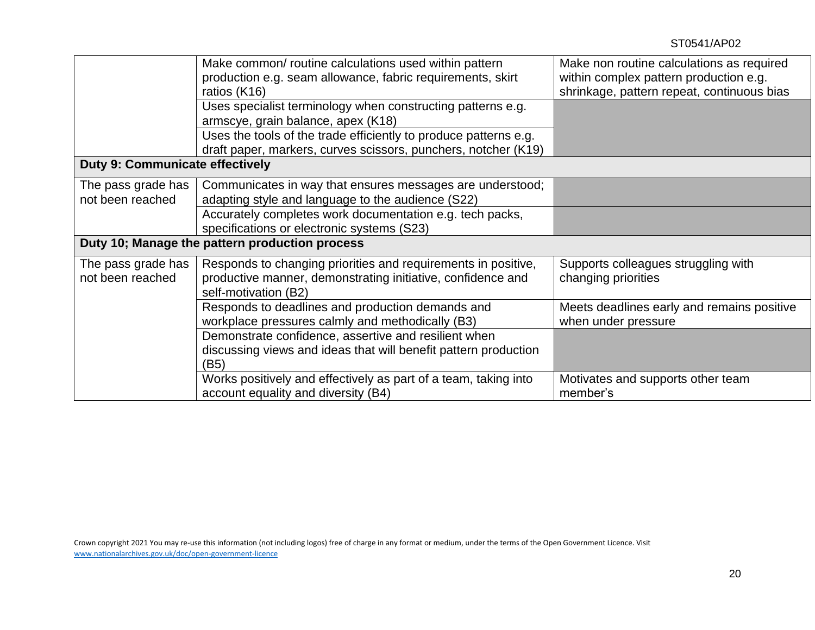|                                        | Make common/ routine calculations used within pattern            | Make non routine calculations as required  |
|----------------------------------------|------------------------------------------------------------------|--------------------------------------------|
|                                        | production e.g. seam allowance, fabric requirements, skirt       | within complex pattern production e.g.     |
|                                        | ratios (K16)                                                     | shrinkage, pattern repeat, continuous bias |
|                                        | Uses specialist terminology when constructing patterns e.g.      |                                            |
|                                        | armscye, grain balance, apex (K18)                               |                                            |
|                                        | Uses the tools of the trade efficiently to produce patterns e.g. |                                            |
|                                        | draft paper, markers, curves scissors, punchers, notcher (K19)   |                                            |
| <b>Duty 9: Communicate effectively</b> |                                                                  |                                            |
| The pass grade has                     | Communicates in way that ensures messages are understood;        |                                            |
| not been reached                       | adapting style and language to the audience (S22)                |                                            |
|                                        | Accurately completes work documentation e.g. tech packs,         |                                            |
|                                        | specifications or electronic systems (S23)                       |                                            |
|                                        | Duty 10; Manage the pattern production process                   |                                            |
| The pass grade has                     | Responds to changing priorities and requirements in positive,    | Supports colleagues struggling with        |
| not been reached                       | productive manner, demonstrating initiative, confidence and      | changing priorities                        |
|                                        | self-motivation (B2)                                             |                                            |
|                                        | Responds to deadlines and production demands and                 | Meets deadlines early and remains positive |
|                                        | workplace pressures calmly and methodically (B3)                 | when under pressure                        |
|                                        | Demonstrate confidence, assertive and resilient when             |                                            |
|                                        | discussing views and ideas that will benefit pattern production  |                                            |
|                                        | (B5)                                                             |                                            |
|                                        | Works positively and effectively as part of a team, taking into  | Motivates and supports other team          |
|                                        | account equality and diversity (B4)                              | member's                                   |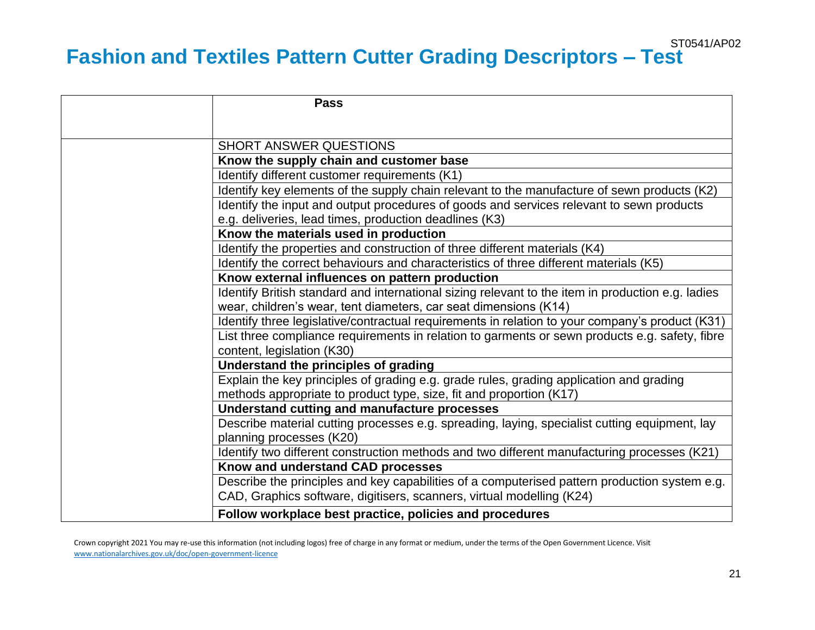### ST0541/AP02 **Fashion and Textiles Pattern Cutter Grading Descriptors – Test**

| <b>Pass</b>                                                                                                                                                    |
|----------------------------------------------------------------------------------------------------------------------------------------------------------------|
|                                                                                                                                                                |
| <b>SHORT ANSWER QUESTIONS</b>                                                                                                                                  |
| Know the supply chain and customer base                                                                                                                        |
| Identify different customer requirements (K1)                                                                                                                  |
| Identify key elements of the supply chain relevant to the manufacture of sewn products (K2)                                                                    |
| Identify the input and output procedures of goods and services relevant to sewn products                                                                       |
| e.g. deliveries, lead times, production deadlines (K3)                                                                                                         |
| Know the materials used in production                                                                                                                          |
| Identify the properties and construction of three different materials (K4)                                                                                     |
| Identify the correct behaviours and characteristics of three different materials (K5)                                                                          |
| Know external influences on pattern production                                                                                                                 |
| Identify British standard and international sizing relevant to the item in production e.g. ladies                                                              |
| wear, children's wear, tent diameters, car seat dimensions (K14)                                                                                               |
| Identify three legislative/contractual requirements in relation to your company's product (K31)                                                                |
| List three compliance requirements in relation to garments or sewn products e.g. safety, fibre<br>content, legislation (K30)                                   |
| Understand the principles of grading                                                                                                                           |
| Explain the key principles of grading e.g. grade rules, grading application and grading<br>methods appropriate to product type, size, fit and proportion (K17) |
| Understand cutting and manufacture processes                                                                                                                   |
| Describe material cutting processes e.g. spreading, laying, specialist cutting equipment, lay<br>planning processes (K20)                                      |
| Identify two different construction methods and two different manufacturing processes (K21)                                                                    |
| Know and understand CAD processes                                                                                                                              |
| Describe the principles and key capabilities of a computerised pattern production system e.g.                                                                  |
| CAD, Graphics software, digitisers, scanners, virtual modelling (K24)                                                                                          |
| Follow workplace best practice, policies and procedures                                                                                                        |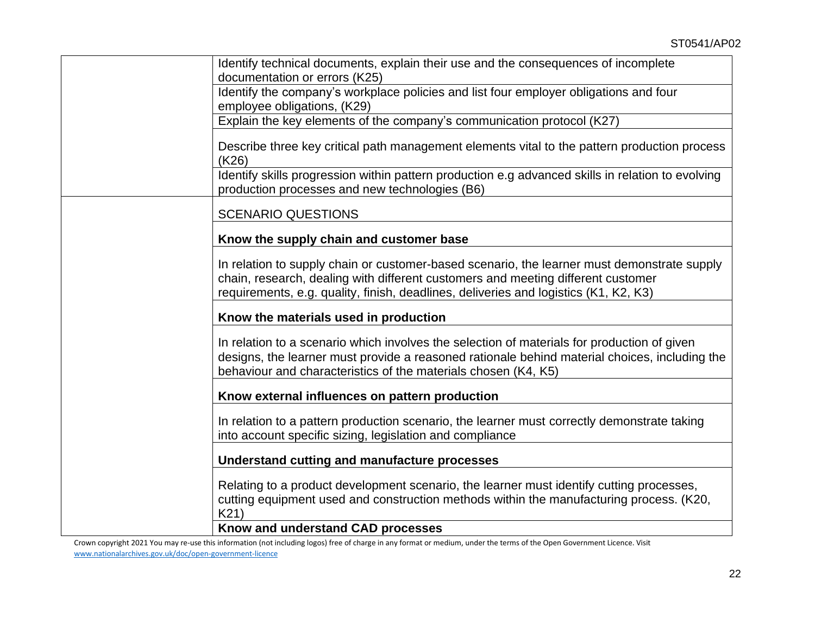| Identify technical documents, explain their use and the consequences of incomplete                                                                                                                                                                                      |
|-------------------------------------------------------------------------------------------------------------------------------------------------------------------------------------------------------------------------------------------------------------------------|
| documentation or errors (K25)                                                                                                                                                                                                                                           |
| Identify the company's workplace policies and list four employer obligations and four                                                                                                                                                                                   |
| employee obligations, (K29)                                                                                                                                                                                                                                             |
| Explain the key elements of the company's communication protocol (K27)                                                                                                                                                                                                  |
| Describe three key critical path management elements vital to the pattern production process<br>(K26)                                                                                                                                                                   |
| Identify skills progression within pattern production e.g advanced skills in relation to evolving<br>production processes and new technologies (B6)                                                                                                                     |
| <b>SCENARIO QUESTIONS</b>                                                                                                                                                                                                                                               |
| Know the supply chain and customer base                                                                                                                                                                                                                                 |
| In relation to supply chain or customer-based scenario, the learner must demonstrate supply<br>chain, research, dealing with different customers and meeting different customer<br>requirements, e.g. quality, finish, deadlines, deliveries and logistics (K1, K2, K3) |
| Know the materials used in production                                                                                                                                                                                                                                   |
| In relation to a scenario which involves the selection of materials for production of given<br>designs, the learner must provide a reasoned rationale behind material choices, including the<br>behaviour and characteristics of the materials chosen (K4, K5)          |
| Know external influences on pattern production                                                                                                                                                                                                                          |
| In relation to a pattern production scenario, the learner must correctly demonstrate taking<br>into account specific sizing, legislation and compliance                                                                                                                 |
| <b>Understand cutting and manufacture processes</b>                                                                                                                                                                                                                     |
| Relating to a product development scenario, the learner must identify cutting processes,<br>cutting equipment used and construction methods within the manufacturing process. (K20,<br>K21)                                                                             |
| Know and understand CAD processes                                                                                                                                                                                                                                       |